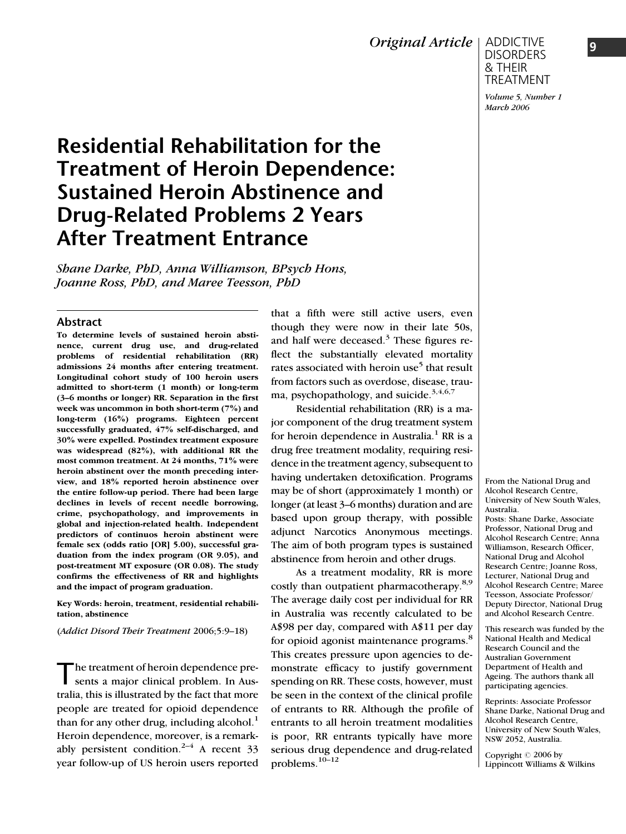Original Article

ADDICTIVE DISORDERS & THEIR TREATMENT

Volume 5, Number 1 March 2006

# Residential Rehabilitation for the Treatment of Heroin Dependence: Sustained Heroin Abstinence and Drug-Related Problems 2 Years After Treatment Entrance

Shane Darke, PhD, Anna Williamson, BPsych Hons, Joanne Ross, PhD, and Maree Teesson, PhD

#### Abstract

To determine levels of sustained heroin abstinence, current drug use, and drug-related problems of residential rehabilitation (RR) admissions 24 months after entering treatment. Longitudinal cohort study of 100 heroin users admitted to short-term (1 month) or long-term (3–6 months or longer) RR. Separation in the first week was uncommon in both short-term (7%) and long-term (16%) programs. Eighteen percent successfully graduated, 47% self-discharged, and 30% were expelled. Postindex treatment exposure was widespread (82%), with additional RR the most common treatment. At 24 months, 71% were heroin abstinent over the month preceding interview, and 18% reported heroin abstinence over the entire follow-up period. There had been large declines in levels of recent needle borrowing, crime, psychopathology, and improvements in global and injection-related health. Independent predictors of continuos heroin abstinent were female sex (odds ratio [OR] 5.00), successful graduation from the index program (OR 9.05), and post-treatment MT exposure (OR 0.08). The study confirms the effectiveness of RR and highlights and the impact of program graduation.

Key Words: heroin, treatment, residential rehabilitation, abstinence

(Addict Disord Their Treatment 2006;5:9–18)

The treatment of heroin dependence pre-<br>sents a major clinical problem. In Australia, this is illustrated by the fact that more people are treated for opioid dependence than for any other drug, including alcohol.<sup>1</sup> Heroin dependence, moreover, is a remarkably persistent condition.<sup>2-4</sup> A recent 33 year follow-up of US heroin users reported

that a fifth were still active users, even though they were now in their late 50s, and half were deceased. $3$  These figures reflect the substantially elevated mortality rates associated with heroin use<sup>5</sup> that result from factors such as overdose, disease, trauma, psychopathology, and suicide.<sup>3,4,6,7</sup>

Residential rehabilitation (RR) is a major component of the drug treatment system for heroin dependence in Australia.<sup>1</sup> RR is a drug free treatment modality, requiring residence in the treatment agency, subsequent to having undertaken detoxification. Programs may be of short (approximately 1 month) or longer (at least 3–6 months) duration and are based upon group therapy, with possible adjunct Narcotics Anonymous meetings. The aim of both program types is sustained abstinence from heroin and other drugs.

As a treatment modality, RR is more costly than outpatient pharmacotherapy.<sup>8,9</sup> The average daily cost per individual for RR in Australia was recently calculated to be A\$98 per day, compared with A\$11 per day for opioid agonist maintenance programs.<sup>8</sup> This creates pressure upon agencies to demonstrate efficacy to justify government spending on RR. These costs, however, must be seen in the context of the clinical profile of entrants to RR. Although the profile of entrants to all heroin treatment modalities is poor, RR entrants typically have more serious drug dependence and drug-related problems.10–12

From the National Drug and Alcohol Research Centre, University of New South Wales, Australia. Posts: Shane Darke, Associate Professor, National Drug and Alcohol Research Centre; Anna Williamson, Research Officer, National Drug and Alcohol Research Centre; Joanne Ross, Lecturer, National Drug and Alcohol Research Centre; Maree Teesson, Associate Professor/ Deputy Director, National Drug and Alcohol Research Centre.

This research was funded by the National Health and Medical Research Council and the Australian Government Department of Health and Ageing. The authors thank all participating agencies.

Reprints: Associate Professor Shane Darke, National Drug and Alcohol Research Centre, University of New South Wales, NSW 2052, Australia.

Copyright © 2006 by Lippincott Williams & Wilkins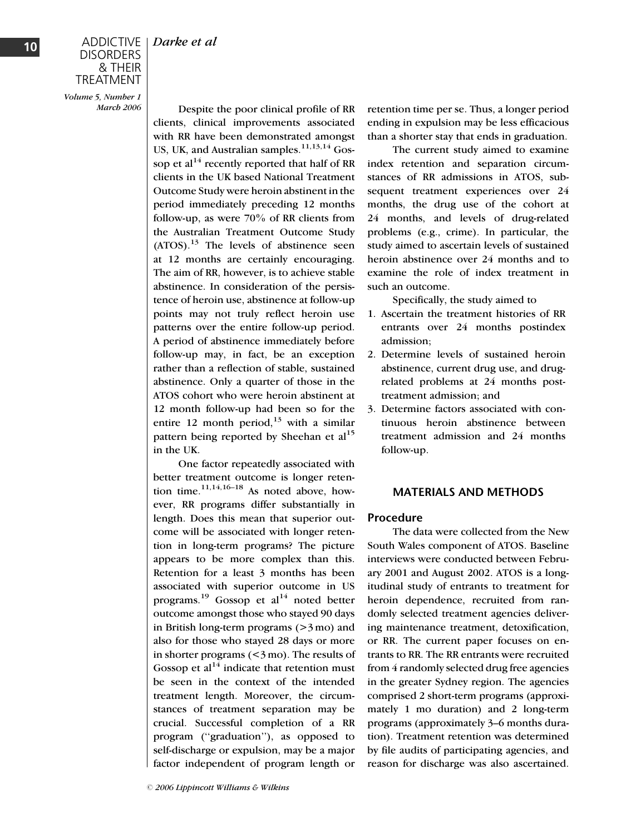Volume 5, Number 1 March 2006

Despite the poor clinical profile of RR clients, clinical improvements associated with RR have been demonstrated amongst US, UK, and Australian samples. $11,13,14$  Gossop et al<sup>14</sup> recently reported that half of RR clients in the UK based National Treatment Outcome Study were heroin abstinent in the period immediately preceding 12 months follow-up, as were 70% of RR clients from the Australian Treatment Outcome Study  $(ATOS)$ .<sup>13</sup> The levels of abstinence seen at 12 months are certainly encouraging. The aim of RR, however, is to achieve stable abstinence. In consideration of the persistence of heroin use, abstinence at follow-up points may not truly reflect heroin use patterns over the entire follow-up period. A period of abstinence immediately before follow-up may, in fact, be an exception rather than a reflection of stable, sustained abstinence. Only a quarter of those in the ATOS cohort who were heroin abstinent at 12 month follow-up had been so for the entire 12 month period,  $13$  with a similar pattern being reported by Sheehan et  $al<sup>15</sup>$ in the UK.

One factor repeatedly associated with better treatment outcome is longer retention time. $11,14,16-18$  As noted above, however, RR programs differ substantially in length. Does this mean that superior outcome will be associated with longer retention in long-term programs? The picture appears to be more complex than this. Retention for a least 3 months has been associated with superior outcome in US programs.<sup>19</sup> Gossop et al<sup>14</sup> noted better outcome amongst those who stayed 90 days in British long-term programs  $(>\frac{3}{2}$  mo) and also for those who stayed 28 days or more in shorter programs (<3 mo). The results of Gossop et al<sup>14</sup> indicate that retention must be seen in the context of the intended treatment length. Moreover, the circumstances of treatment separation may be crucial. Successful completion of a RR program (''graduation''), as opposed to self-discharge or expulsion, may be a major factor independent of program length or

retention time per se. Thus, a longer period ending in expulsion may be less efficacious than a shorter stay that ends in graduation.

The current study aimed to examine index retention and separation circumstances of RR admissions in ATOS, subsequent treatment experiences over 24 months, the drug use of the cohort at 24 months, and levels of drug-related problems (e.g., crime). In particular, the study aimed to ascertain levels of sustained heroin abstinence over 24 months and to examine the role of index treatment in such an outcome.

Specifically, the study aimed to

- 1. Ascertain the treatment histories of RR entrants over 24 months postindex admission;
- 2. Determine levels of sustained heroin abstinence, current drug use, and drugrelated problems at 24 months posttreatment admission; and
- 3. Determine factors associated with continuous heroin abstinence between treatment admission and 24 months follow-up.

## MATERIALS AND METHODS

## Procedure

The data were collected from the New South Wales component of ATOS. Baseline interviews were conducted between February 2001 and August 2002. ATOS is a longitudinal study of entrants to treatment for heroin dependence, recruited from randomly selected treatment agencies delivering maintenance treatment, detoxification, or RR. The current paper focuses on entrants to RR. The RR entrants were recruited from 4 randomly selected drug free agencies in the greater Sydney region. The agencies comprised 2 short-term programs (approximately 1 mo duration) and 2 long-term programs (approximately 3–6 months duration). Treatment retention was determined by file audits of participating agencies, and reason for discharge was also ascertained.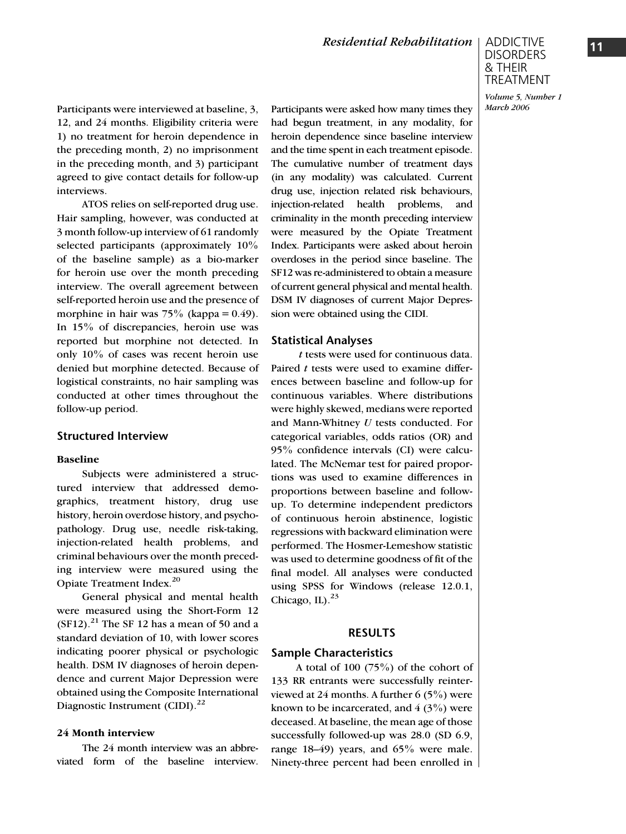## ADDICTIVE DISORDERS & THEIR TREATMENT

Volume 5, Number 1 March 2006

Participants were interviewed at baseline, 3, 12, and 24 months. Eligibility criteria were 1) no treatment for heroin dependence in the preceding month, 2) no imprisonment in the preceding month, and 3) participant agreed to give contact details for follow-up interviews.

ATOS relies on self-reported drug use. Hair sampling, however, was conducted at 3 month follow-up interview of 61 randomly selected participants (approximately 10% of the baseline sample) as a bio-marker for heroin use over the month preceding interview. The overall agreement between self-reported heroin use and the presence of morphine in hair was  $75\%$  (kappa = 0.49). In 15% of discrepancies, heroin use was reported but morphine not detected. In only 10% of cases was recent heroin use denied but morphine detected. Because of logistical constraints, no hair sampling was conducted at other times throughout the follow-up period.

## Structured Interview

#### Baseline

Subjects were administered a structured interview that addressed demographics, treatment history, drug use history, heroin overdose history, and psychopathology. Drug use, needle risk-taking, injection-related health problems, and criminal behaviours over the month preceding interview were measured using the Opiate Treatment Index.<sup>20</sup>

General physical and mental health were measured using the Short-Form 12  $(SF12).<sup>21</sup>$  The SF 12 has a mean of 50 and a standard deviation of 10, with lower scores indicating poorer physical or psychologic health. DSM IV diagnoses of heroin dependence and current Major Depression were obtained using the Composite International Diagnostic Instrument (CIDI).<sup>22</sup>

#### 24 Month interview

The 24 month interview was an abbreviated form of the baseline interview. Participants were asked how many times they had begun treatment, in any modality, for heroin dependence since baseline interview and the time spent in each treatment episode. The cumulative number of treatment days (in any modality) was calculated. Current drug use, injection related risk behaviours, injection-related health problems, and criminality in the month preceding interview were measured by the Opiate Treatment Index. Participants were asked about heroin overdoses in the period since baseline. The SF12 was re-administered to obtain a measure of current general physical and mental health. DSM IV diagnoses of current Major Depression were obtained using the CIDI.

#### Statistical Analyses

t tests were used for continuous data. Paired  $t$  tests were used to examine differences between baseline and follow-up for continuous variables. Where distributions were highly skewed, medians were reported and Mann-Whitney  $U$  tests conducted. For categorical variables, odds ratios (OR) and 95% confidence intervals (CI) were calculated. The McNemar test for paired proportions was used to examine differences in proportions between baseline and followup. To determine independent predictors of continuous heroin abstinence, logistic regressions with backward elimination were performed. The Hosmer-Lemeshow statistic was used to determine goodness of fit of the final model. All analyses were conducted using SPSS for Windows (release 12.0.1, Chicago, IL $)^{23}$ 

#### RESULTS

#### Sample Characteristics

A total of 100  $(75\%)$  of the cohort of 133 RR entrants were successfully reinterviewed at 24 months. A further 6 (5%) were known to be incarcerated, and  $4(3\%)$  were deceased. At baseline, the mean age of those successfully followed-up was 28.0 (SD 6.9, range 18–49) years, and 65% were male. Ninety-three percent had been enrolled in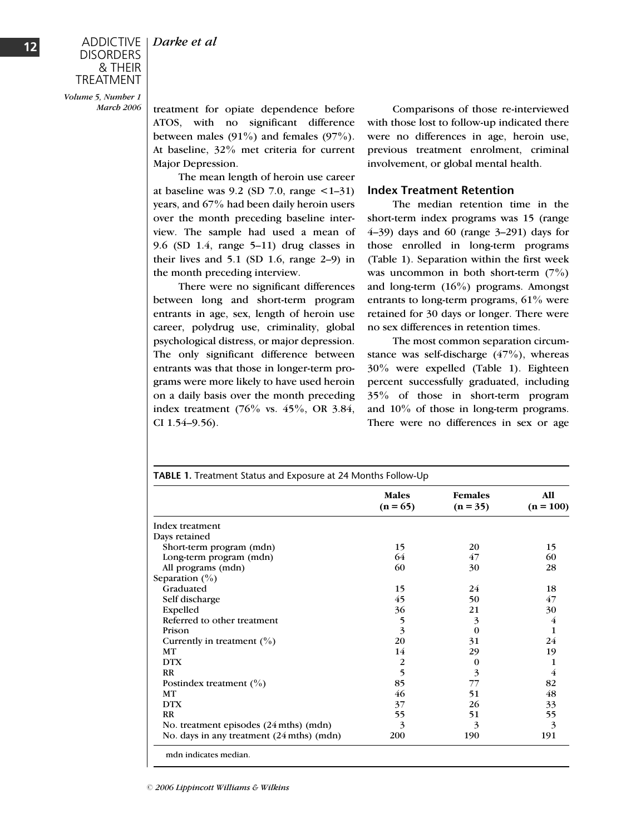& THEIR TREATMENT Volume 5, Number 1

DISORDERS

March 2006

treatment for opiate dependence before ATOS, with no significant difference between males  $(91\%)$  and females  $(97\%)$ . At baseline, 32% met criteria for current Major Depression.

The mean length of heroin use career at baseline was  $9.2$  (SD 7.0, range  $\leq 1-31$ ) years, and 67% had been daily heroin users over the month preceding baseline interview. The sample had used a mean of 9.6 (SD 1.4, range 5–11) drug classes in their lives and 5.1 (SD 1.6, range 2–9) in the month preceding interview.

There were no significant differences between long and short-term program entrants in age, sex, length of heroin use career, polydrug use, criminality, global psychological distress, or major depression. The only significant difference between entrants was that those in longer-term programs were more likely to have used heroin on a daily basis over the month preceding index treatment (76% vs. 45%, OR 3.84, CI 1.54–9.56).

Comparisons of those re-interviewed with those lost to follow-up indicated there were no differences in age, heroin use, previous treatment enrolment, criminal involvement, or global mental health.

## Index Treatment Retention

The median retention time in the short-term index programs was 15 (range 4–39) days and 60 (range 3–291) days for those enrolled in long-term programs (Table 1). Separation within the first week was uncommon in both short-term  $(7%)$ and long-term (16%) programs. Amongst entrants to long-term programs, 61% were retained for 30 days or longer. There were no sex differences in retention times.

The most common separation circumstance was self-discharge  $(47%)$ , whereas 30% were expelled (Table 1). Eighteen percent successfully graduated, including 35% of those in short-term program and 10% of those in long-term programs. There were no differences in sex or age

|                                           | <b>Males</b><br>$(n = 65)$ | <b>Females</b><br>$(n = 35)$ | <b>A11</b><br>$(n = 100)$ |
|-------------------------------------------|----------------------------|------------------------------|---------------------------|
| Index treatment                           |                            |                              |                           |
| Days retained                             |                            |                              |                           |
| Short-term program (mdn)                  | 15                         | 20                           | 15                        |
| Long-term program (mdn)                   | 64                         | 47                           | 60                        |
| All programs (mdn)                        | 60                         | 30                           | 28                        |
| Separation $(\% )$                        |                            |                              |                           |
| Graduated                                 | 15                         | 24                           | 18                        |
| Self discharge                            | 45                         | 50                           | 47                        |
| Expelled                                  | 36                         | 21                           | 30                        |
| Referred to other treatment               | 5                          | 3                            | 4                         |
| Prison                                    | $\overline{\mathbf{3}}$    | $\Omega$                     | 1                         |
| Currently in treatment $(\% )$            | 20                         | 31                           | 24                        |
| <b>MT</b>                                 | 14                         | 29                           | 19                        |
| <b>DTX</b>                                | 2                          | 0                            | 1                         |
| <b>RR</b>                                 | 5                          | 3                            | 4                         |
| Postindex treatment $(\% )$               | 85                         | 77                           | 82                        |
| MT                                        | 46                         | 51                           | 48                        |
| <b>DTX</b>                                | 37                         | 26                           | 33                        |
| <b>RR</b>                                 | 55                         | 51                           | 55                        |
| No. treatment episodes (24 mths) (mdn)    | 3                          | 3                            | 3                         |
| No. days in any treatment (24 mths) (mdn) | 200                        | 190                          | 191                       |

mdn indicates median.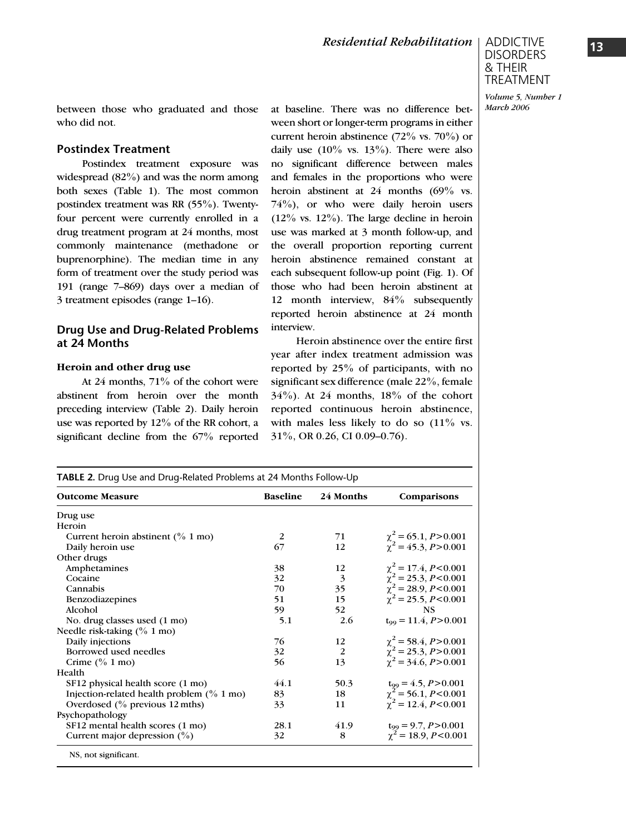

March 2006

between those who graduated and those who did not.

## Postindex Treatment

Postindex treatment exposure was widespread (82%) and was the norm among both sexes (Table 1). The most common postindex treatment was RR (55%). Twentyfour percent were currently enrolled in a drug treatment program at 24 months, most commonly maintenance (methadone or buprenorphine). The median time in any form of treatment over the study period was 191 (range 7–869) days over a median of 3 treatment episodes (range 1–16).

## Drug Use and Drug-Related Problems at 24 Months

#### Heroin and other drug use

At 24 months, 71% of the cohort were abstinent from heroin over the month preceding interview (Table 2). Daily heroin use was reported by 12% of the RR cohort, a significant decline from the 67% reported

at baseline. There was no difference between short or longer-term programs in either current heroin abstinence  $(72\% \text{ vs. } 70\%)$  or daily use  $(10\% \text{ vs. } 13\%)$ . There were also no significant difference between males and females in the proportions who were heroin abstinent at 24 months (69% vs.  $74\%$ ), or who were daily heroin users  $(12\% \text{ vs. } 12\%)$ . The large decline in heroin use was marked at 3 month follow-up, and the overall proportion reporting current heroin abstinence remained constant at each subsequent follow-up point (Fig. 1). Of those who had been heroin abstinent at 12 month interview, 84% subsequently reported heroin abstinence at 24 month interview.

Heroin abstinence over the entire first year after index treatment admission was reported by 25% of participants, with no significant sex difference (male 22%, female  $34\%$ ). At 24 months,  $18\%$  of the cohort reported continuous heroin abstinence, with males less likely to do so  $(11\%$  vs. 31%, OR 0.26, CI 0.09–0.76).

| TABLE 2. Drug Use and Drug-Related Problems at 24 Months Follow-Up |                 |           |                                                                                        |  |  |
|--------------------------------------------------------------------|-----------------|-----------|----------------------------------------------------------------------------------------|--|--|
| <b>Outcome Measure</b>                                             | <b>Baseline</b> | 24 Months | Comparisons                                                                            |  |  |
| Drug use                                                           |                 |           |                                                                                        |  |  |
| Heroin                                                             |                 |           |                                                                                        |  |  |
| Current heroin abstinent $(^{0}\!/_{0} 1 \text{ mo})$              | 2               | 71        | $\chi^2$ = 65.1, P > 0.001                                                             |  |  |
| Daily heroin use                                                   | 67              | 12        | $\chi^2$ = 45.3, P > 0.001                                                             |  |  |
| Other drugs                                                        |                 |           |                                                                                        |  |  |
| Amphetamines                                                       | 38              | 12        | $\chi^2$ = 17.4, P<0.001                                                               |  |  |
| Cocaine                                                            | 32              | 3         | $\chi^2$ = 25.3, P<0.001                                                               |  |  |
| Cannabis                                                           | 70              | 35        | $\chi^2$ = 28.9, P<0.001                                                               |  |  |
| Benzodiazepines                                                    | 51              | 15        | $\chi^2$ = 25.5, P<0.001                                                               |  |  |
| Alcohol                                                            | 59              | 52        | <b>NS</b>                                                                              |  |  |
| No. drug classes used (1 mo)                                       | 5.1             | 2.6       | $t_{99} = 11.4, P > 0.001$                                                             |  |  |
| Needle risk-taking $(\% 1 \text{ mo})$                             |                 |           |                                                                                        |  |  |
| Daily injections                                                   | 76              | 12        |                                                                                        |  |  |
| Borrowed used needles                                              | 32              | 2         |                                                                                        |  |  |
| Crime $(^{0}\!/_{0} 1 \text{ mo})$                                 | 56              | 13        | $\chi^2$ = 58.4, P > 0.001<br>$\chi^2$ = 25.3, P > 0.001<br>$\chi^2$ = 34.6, P > 0.001 |  |  |
| Health                                                             |                 |           |                                                                                        |  |  |
| SF12 physical health score (1 mo)                                  | 44.1            | 50.3      |                                                                                        |  |  |
| Injection-related health problem $(^{0}\!/_{0} 1 \text{ mo})$      | 83              | 18        | $t_{99} = 4.5, P > 0.001$<br>$\chi^2 = 56.1, P < 0.001$                                |  |  |
| Overdosed $(^{0}_{0}$ previous 12 mths)                            | 33              | 11        | $\chi^2$ = 12.4, P<0.001                                                               |  |  |
| Psychopathology                                                    |                 |           |                                                                                        |  |  |
| SF12 mental health scores (1 mo)                                   | 28.1            | 41.9      |                                                                                        |  |  |
| Current major depression $(\% )$                                   | 32              | 8         | $t_{99} = 9.7, P > 0.001$<br>$\chi^2 = 18.9, P < 0.001$                                |  |  |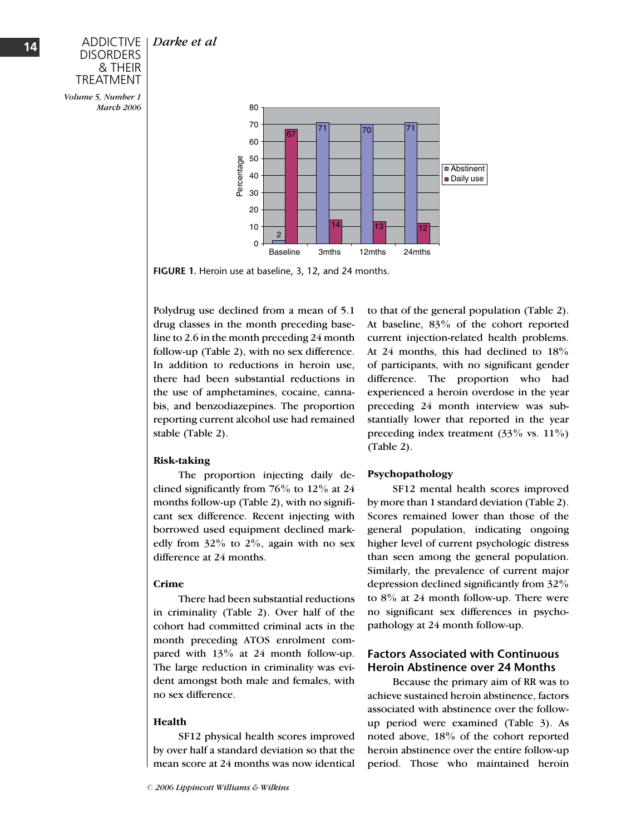Darke et al



Volume 5, Number 1 March 2006



FIGURE 1. Heroin use at baseline, 3, 12, and 24 months.

Polydrug use declined from a mean of 5.1 drug classes in the month preceding baseline to 2.6 in the month preceding 24 month follow-up (Table 2), with no sex difference. In addition to reductions in heroin use, there had been substantial reductions in the use of amphetamines, cocaine, cannabis, and benzodiazepines. The proportion reporting current alcohol use had remained stable (Table 2).

## Risk-taking

The proportion injecting daily declined significantly from 76% to 12% at 24 months follow-up (Table 2), with no significant sex difference. Recent injecting with borrowed used equipment declined markedly from  $32\%$  to  $2\%$ , again with no sex difference at 24 months.

## Crime

There had been substantial reductions in criminality (Table 2). Over half of the cohort had committed criminal acts in the month preceding ATOS enrolment compared with 13% at 24 month follow-up. The large reduction in criminality was evident amongst both male and females, with no sex difference.

## Health

SF12 physical health scores improved by over half a standard deviation so that the mean score at 24 months was now identical to that of the general population (Table 2). At baseline, 83% of the cohort reported current injection-related health problems. At 24 months, this had declined to 18% of participants, with no significant gender difference. The proportion who had experienced a heroin overdose in the year preceding 24 month interview was substantially lower that reported in the year preceding index treatment (33% vs. 11%) (Table 2).

## Psychopathology

SF12 mental health scores improved by more than 1 standard deviation (Table 2). Scores remained lower than those of the general population, indicating ongoing higher level of current psychologic distress than seen among the general population. Similarly, the prevalence of current major depression declined significantly from 32% to  $8\%$  at 24 month follow-up. There were no significant sex differences in psychopathology at 24 month follow-up.

## Factors Associated with Continuous Heroin Abstinence over 24 Months

Because the primary aim of RR was to achieve sustained heroin abstinence, factors associated with abstinence over the followup period were examined (Table 3). As noted above, 18% of the cohort reported heroin abstinence over the entire follow-up period. Those who maintained heroin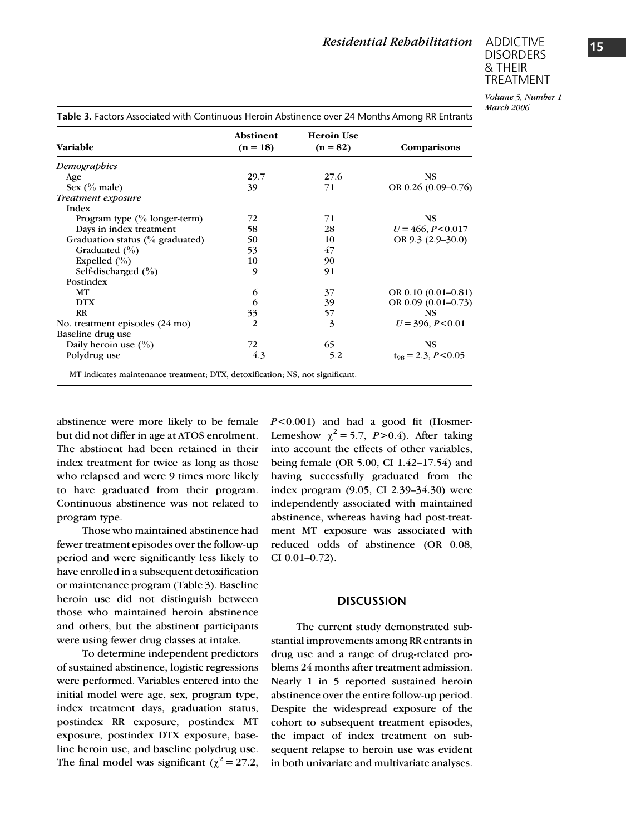## ADDICTIVE DISORDERS & THEIR TREATMENT

Volume 5, Number 1 March 2006

| <b>Variable</b>                            | <b>Abstinent</b><br>$(n = 18)$ | <b>Heroin Use</b><br>$(n = 82)$ | Comparisons              |
|--------------------------------------------|--------------------------------|---------------------------------|--------------------------|
| Demographics                               |                                |                                 |                          |
| Age                                        | 29.7                           | 27.6                            | <b>NS</b>                |
| Sex $(\%$ male)                            | 39                             | 71                              | OR 0.26 $(0.09-0.76)$    |
| Treatment exposure                         |                                |                                 |                          |
| Index                                      |                                |                                 |                          |
| Program type $(\%$ longer-term)            | 72                             | 71                              | <b>NS</b>                |
| Days in index treatment                    | 58                             | 28                              | $U = 466, P < 0.017$     |
| Graduation status $\frac{0}{0}$ graduated) | 50                             | 10                              | OR $9.3$ (2.9–30.0)      |
| Graduated $(\% )$                          | 53                             | 47                              |                          |
| Expelled $(\% )$                           | 10                             | 90                              |                          |
| Self-discharged $(\%)$                     | 9                              | 91                              |                          |
| Postindex                                  |                                |                                 |                          |
| MT                                         | 6                              | 37                              | OR $0.10(0.01 - 0.81)$   |
| <b>DTX</b>                                 | 6                              | 39                              | OR 0.09 (0.01-0.73)      |
| <b>RR</b>                                  | 33                             | 57                              | <b>NS</b>                |
| No. treatment episodes (24 mo)             | 2                              | 3                               | $U = 396, P < 0.01$      |
| Baseline drug use                          |                                |                                 |                          |
| Daily heroin use $(\% )$                   | 72                             | 65                              | <b>NS</b>                |
| Polydrug use                               | 4.3                            | 5.2                             | $t_{98} = 2.3, P < 0.05$ |

abstinence were more likely to be female but did not differ in age at ATOS enrolment. The abstinent had been retained in their index treatment for twice as long as those who relapsed and were 9 times more likely to have graduated from their program. Continuous abstinence was not related to program type.

Those who maintained abstinence had fewer treatment episodes over the follow-up period and were significantly less likely to have enrolled in a subsequent detoxification or maintenance program (Table 3). Baseline heroin use did not distinguish between those who maintained heroin abstinence and others, but the abstinent participants were using fewer drug classes at intake.

To determine independent predictors of sustained abstinence, logistic regressions were performed. Variables entered into the initial model were age, sex, program type, index treatment days, graduation status, postindex RR exposure, postindex MT exposure, postindex DTX exposure, baseline heroin use, and baseline polydrug use. The final model was significant ( $\chi^2$  = 27.2,  $P < 0.001$ ) and had a good fit (Hosmer-Lemeshow  $\chi^2$  = 5.7, P > 0.4). After taking into account the effects of other variables, being female (OR 5.00, CI 1.42–17.54) and having successfully graduated from the index program (9.05, CI 2.39–34.30) were independently associated with maintained abstinence, whereas having had post-treatment MT exposure was associated with reduced odds of abstinence (OR 0.08, CI 0.01–0.72).

#### **DISCUSSION**

The current study demonstrated substantial improvements among RR entrants in drug use and a range of drug-related problems 24 months after treatment admission. Nearly 1 in 5 reported sustained heroin abstinence over the entire follow-up period. Despite the widespread exposure of the cohort to subsequent treatment episodes, the impact of index treatment on subsequent relapse to heroin use was evident in both univariate and multivariate analyses.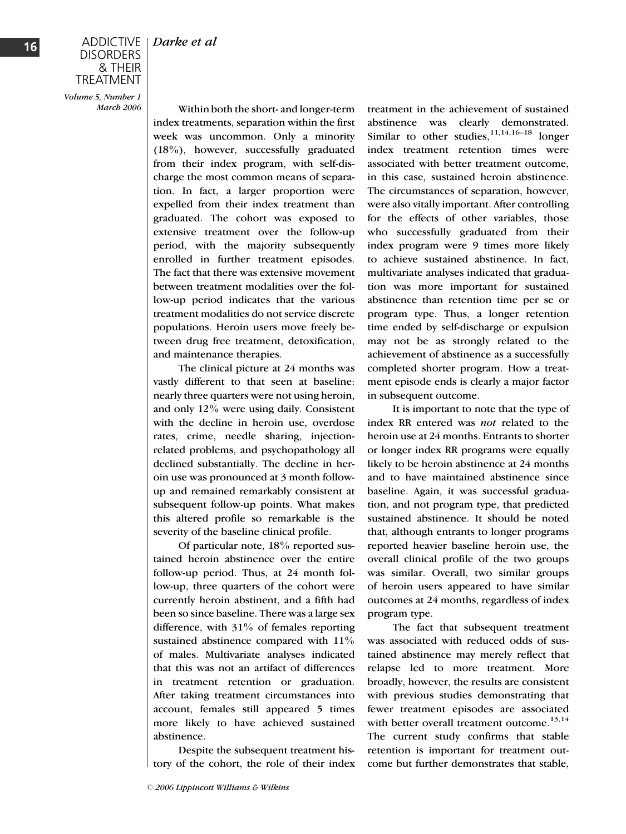## **DISORDERS** & THEIR TREATMENT

Volume 5, Number 1 March 2006

Within both the short- and longer-term index treatments, separation within the first week was uncommon. Only a minority (18%), however, successfully graduated from their index program, with self-discharge the most common means of separation. In fact, a larger proportion were expelled from their index treatment than graduated. The cohort was exposed to extensive treatment over the follow-up period, with the majority subsequently enrolled in further treatment episodes. The fact that there was extensive movement between treatment modalities over the follow-up period indicates that the various treatment modalities do not service discrete populations. Heroin users move freely between drug free treatment, detoxification, and maintenance therapies.

The clinical picture at 24 months was vastly different to that seen at baseline: nearly three quarters were not using heroin, and only 12% were using daily. Consistent with the decline in heroin use, overdose rates, crime, needle sharing, injectionrelated problems, and psychopathology all declined substantially. The decline in heroin use was pronounced at 3 month followup and remained remarkably consistent at subsequent follow-up points. What makes this altered profile so remarkable is the severity of the baseline clinical profile.

Of particular note, 18% reported sustained heroin abstinence over the entire follow-up period. Thus, at 24 month follow-up, three quarters of the cohort were currently heroin abstinent, and a fifth had been so since baseline. There was a large sex difference, with 31% of females reporting sustained abstinence compared with  $11\%$ of males. Multivariate analyses indicated that this was not an artifact of differences in treatment retention or graduation. After taking treatment circumstances into account, females still appeared 5 times more likely to have achieved sustained abstinence.

Despite the subsequent treatment history of the cohort, the role of their index

treatment in the achievement of sustained abstinence was clearly demonstrated. Similar to other studies,  $11,14,16-18$  longer index treatment retention times were associated with better treatment outcome, in this case, sustained heroin abstinence. The circumstances of separation, however, were also vitally important. After controlling for the effects of other variables, those who successfully graduated from their index program were 9 times more likely to achieve sustained abstinence. In fact, multivariate analyses indicated that graduation was more important for sustained abstinence than retention time per se or program type. Thus, a longer retention time ended by self-discharge or expulsion may not be as strongly related to the achievement of abstinence as a successfully completed shorter program. How a treatment episode ends is clearly a major factor in subsequent outcome.

It is important to note that the type of index RR entered was not related to the heroin use at 24 months. Entrants to shorter or longer index RR programs were equally likely to be heroin abstinence at 24 months and to have maintained abstinence since baseline. Again, it was successful graduation, and not program type, that predicted sustained abstinence. It should be noted that, although entrants to longer programs reported heavier baseline heroin use, the overall clinical profile of the two groups was similar. Overall, two similar groups of heroin users appeared to have similar outcomes at 24 months, regardless of index program type.

The fact that subsequent treatment was associated with reduced odds of sustained abstinence may merely reflect that relapse led to more treatment. More broadly, however, the results are consistent with previous studies demonstrating that fewer treatment episodes are associated with better overall treatment outcome. $13,14$ The current study confirms that stable retention is important for treatment outcome but further demonstrates that stable,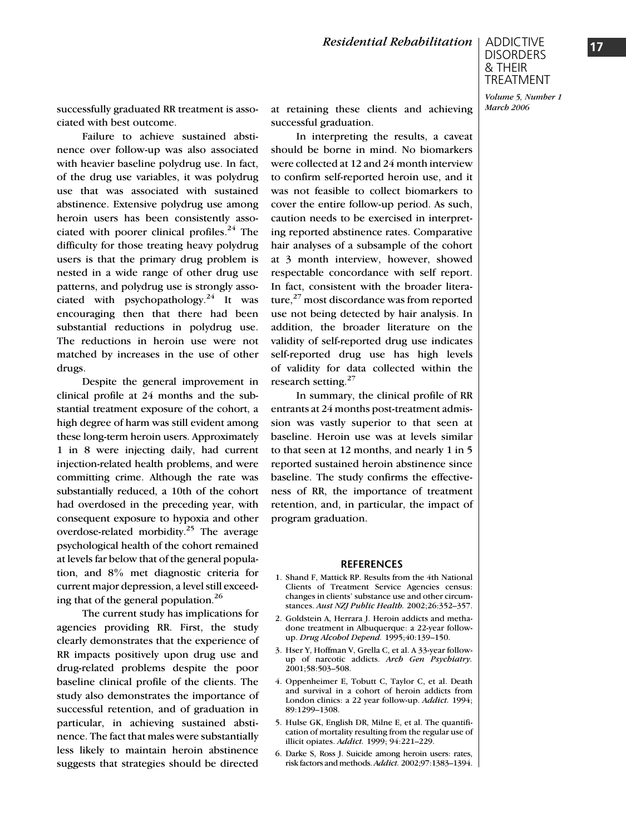March 2006

successfully graduated RR treatment is associated with best outcome.

Failure to achieve sustained abstinence over follow-up was also associated with heavier baseline polydrug use. In fact, of the drug use variables, it was polydrug use that was associated with sustained abstinence. Extensive polydrug use among heroin users has been consistently associated with poorer clinical profiles. $24$  The difficulty for those treating heavy polydrug users is that the primary drug problem is nested in a wide range of other drug use patterns, and polydrug use is strongly associated with psychopathology.<sup>24</sup> It was encouraging then that there had been substantial reductions in polydrug use. The reductions in heroin use were not matched by increases in the use of other drugs.

Despite the general improvement in clinical profile at 24 months and the substantial treatment exposure of the cohort, a high degree of harm was still evident among these long-term heroin users. Approximately 1 in 8 were injecting daily, had current injection-related health problems, and were committing crime. Although the rate was substantially reduced, a 10th of the cohort had overdosed in the preceding year, with consequent exposure to hypoxia and other overdose-related morbidity.25 The average psychological health of the cohort remained at levels far below that of the general population, and 8% met diagnostic criteria for current major depression, a level still exceeding that of the general population.<sup>26</sup>

The current study has implications for agencies providing RR. First, the study clearly demonstrates that the experience of RR impacts positively upon drug use and drug-related problems despite the poor baseline clinical profile of the clients. The study also demonstrates the importance of successful retention, and of graduation in particular, in achieving sustained abstinence. The fact that males were substantially less likely to maintain heroin abstinence suggests that strategies should be directed

at retaining these clients and achieving successful graduation.

In interpreting the results, a caveat should be borne in mind. No biomarkers were collected at 12 and 24 month interview to confirm self-reported heroin use, and it was not feasible to collect biomarkers to cover the entire follow-up period. As such, caution needs to be exercised in interpreting reported abstinence rates. Comparative hair analyses of a subsample of the cohort at 3 month interview, however, showed respectable concordance with self report. In fact, consistent with the broader literature, $27$  most discordance was from reported use not being detected by hair analysis. In addition, the broader literature on the validity of self-reported drug use indicates self-reported drug use has high levels of validity for data collected within the research setting.<sup>27</sup>

In summary, the clinical profile of RR entrants at 24 months post-treatment admission was vastly superior to that seen at baseline. Heroin use was at levels similar to that seen at 12 months, and nearly 1 in 5 reported sustained heroin abstinence since baseline. The study confirms the effectiveness of RR, the importance of treatment retention, and, in particular, the impact of program graduation.

#### **REFERENCES**

- 1. Shand F, Mattick RP. Results from the 4th National Clients of Treatment Service Agencies census: changes in clients' substance use and other circumstances. Aust NZJ Public Health. 2002;26:352–357.
- 2. Goldstein A, Herrara J. Heroin addicts and methadone treatment in Albuquerque: a 22-year followup. Drug Alcohol Depend. 1995;40:139–150.
- 3. Hser Y, Hoffman V, Grella C, et al. A 33-year followup of narcotic addicts. Arch Gen Psychiatry. 2001;58:503–508.
- 4. Oppenheimer E, Tobutt C, Taylor C, et al. Death and survival in a cohort of heroin addicts from London clinics: a 22 year follow-up. Addict. 1994; 89:1299–1308.
- 5. Hulse GK, English DR, Milne E, et al. The quantification of mortality resulting from the regular use of illicit opiates. Addict. 1999; 94:221-229.
- 6. Darke S, Ross J. Suicide among heroin users: rates, risk factors and methods. Addict. 2002;97:1383-1394.